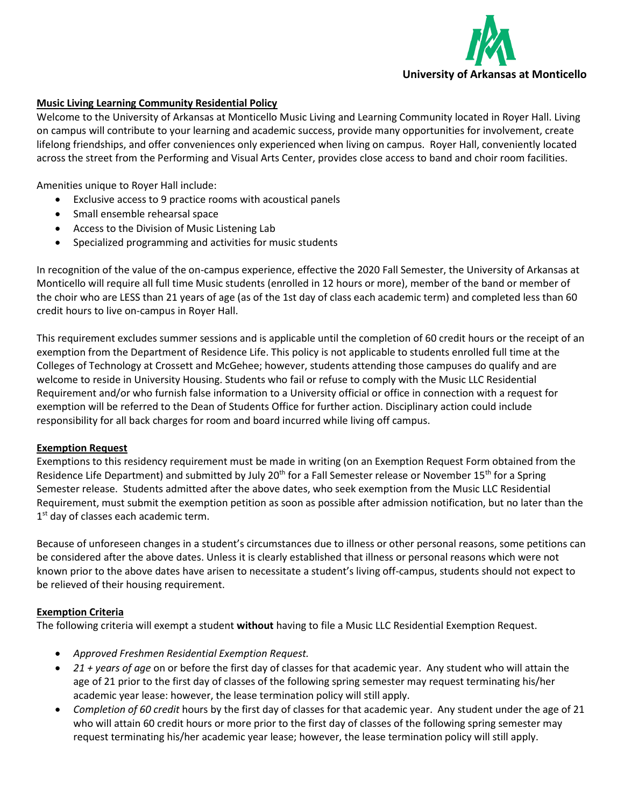

## **Music Living Learning Community Residential Policy**

Welcome to the University of Arkansas at Monticello Music Living and Learning Community located in Royer Hall. Living on campus will contribute to your learning and academic success, provide many opportunities for involvement, create lifelong friendships, and offer conveniences only experienced when living on campus. Royer Hall, conveniently located across the street from the Performing and Visual Arts Center, provides close access to band and choir room facilities.

Amenities unique to Royer Hall include:

- Exclusive access to 9 practice rooms with acoustical panels
- Small ensemble rehearsal space
- Access to the Division of Music Listening Lab
- Specialized programming and activities for music students

In recognition of the value of the on-campus experience, effective the 2020 Fall Semester, the University of Arkansas at Monticello will require all full time Music students (enrolled in 12 hours or more), member of the band or member of the choir who are LESS than 21 years of age (as of the 1st day of class each academic term) and completed less than 60 credit hours to live on-campus in Royer Hall.

This requirement excludes summer sessions and is applicable until the completion of 60 credit hours or the receipt of an exemption from the Department of Residence Life. This policy is not applicable to students enrolled full time at the Colleges of Technology at Crossett and McGehee; however, students attending those campuses do qualify and are welcome to reside in University Housing. Students who fail or refuse to comply with the Music LLC Residential Requirement and/or who furnish false information to a University official or office in connection with a request for exemption will be referred to the Dean of Students Office for further action. Disciplinary action could include responsibility for all back charges for room and board incurred while living off campus.

## **Exemption Request**

Exemptions to this residency requirement must be made in writing (on an Exemption Request Form obtained from the Residence Life Department) and submitted by July 20<sup>th</sup> for a Fall Semester release or November 15<sup>th</sup> for a Spring Semester release. Students admitted after the above dates, who seek exemption from the Music LLC Residential Requirement, must submit the exemption petition as soon as possible after admission notification, but no later than the 1<sup>st</sup> day of classes each academic term.

Because of unforeseen changes in a student's circumstances due to illness or other personal reasons, some petitions can be considered after the above dates. Unless it is clearly established that illness or personal reasons which were not known prior to the above dates have arisen to necessitate a student's living off-campus, students should not expect to be relieved of their housing requirement.

## **Exemption Criteria**

The following criteria will exempt a student **without** having to file a Music LLC Residential Exemption Request.

- *Approved Freshmen Residential Exemption Request.*
- *21 + years of age* on or before the first day of classes for that academic year. Any student who will attain the age of 21 prior to the first day of classes of the following spring semester may request terminating his/her academic year lease: however, the lease termination policy will still apply.
- *Completion of 60 credit* hours by the first day of classes for that academic year. Any student under the age of 21 who will attain 60 credit hours or more prior to the first day of classes of the following spring semester may request terminating his/her academic year lease; however, the lease termination policy will still apply.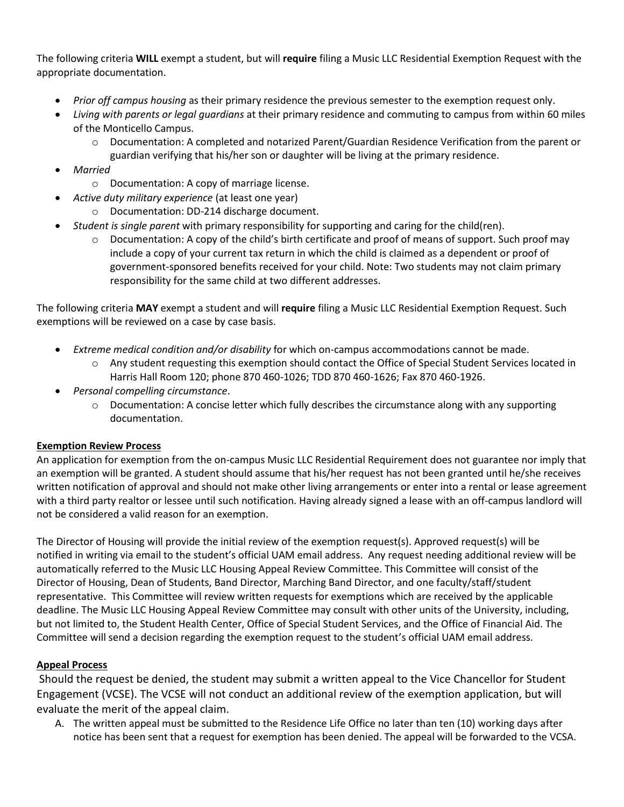The following criteria **WILL** exempt a student, but will **require** filing a Music LLC Residential Exemption Request with the appropriate documentation.

- *Prior off campus housing* as their primary residence the previous semester to the exemption request only.
- *Living with parents or legal guardians* at their primary residence and commuting to campus from within 60 miles of the Monticello Campus.
	- o Documentation: A completed and notarized Parent/Guardian Residence Verification from the parent or guardian verifying that his/her son or daughter will be living at the primary residence.
- *Married* 
	- o Documentation: A copy of marriage license.
- *Active duty military experience* (at least one year)
	- o Documentation: DD-214 discharge document.
- *Student is single parent* with primary responsibility for supporting and caring for the child(ren).
	- $\circ$  Documentation: A copy of the child's birth certificate and proof of means of support. Such proof may include a copy of your current tax return in which the child is claimed as a dependent or proof of government-sponsored benefits received for your child. Note: Two students may not claim primary responsibility for the same child at two different addresses.

The following criteria **MAY** exempt a student and will **require** filing a Music LLC Residential Exemption Request. Such exemptions will be reviewed on a case by case basis.

- *Extreme medical condition and/or disability* for which on-campus accommodations cannot be made.
	- o Any student requesting this exemption should contact the Office of Special Student Services located in Harris Hall Room 120; phone 870 460-1026; TDD 870 460-1626; Fax 870 460-1926.
- *Personal compelling circumstance*.
	- $\circ$  Documentation: A concise letter which fully describes the circumstance along with any supporting documentation.

# **Exemption Review Process**

An application for exemption from the on-campus Music LLC Residential Requirement does not guarantee nor imply that an exemption will be granted. A student should assume that his/her request has not been granted until he/she receives written notification of approval and should not make other living arrangements or enter into a rental or lease agreement with a third party realtor or lessee until such notification. Having already signed a lease with an off-campus landlord will not be considered a valid reason for an exemption.

The Director of Housing will provide the initial review of the exemption request(s). Approved request(s) will be notified in writing via email to the student's official UAM email address. Any request needing additional review will be automatically referred to the Music LLC Housing Appeal Review Committee. This Committee will consist of the Director of Housing, Dean of Students, Band Director, Marching Band Director, and one faculty/staff/student representative. This Committee will review written requests for exemptions which are received by the applicable deadline. The Music LLC Housing Appeal Review Committee may consult with other units of the University, including, but not limited to, the Student Health Center, Office of Special Student Services, and the Office of Financial Aid. The Committee will send a decision regarding the exemption request to the student's official UAM email address.

# **Appeal Process**

Should the request be denied, the student may submit a written appeal to the Vice Chancellor for Student Engagement (VCSE). The VCSE will not conduct an additional review of the exemption application, but will evaluate the merit of the appeal claim.

A. The written appeal must be submitted to the Residence Life Office no later than ten (10) working days after notice has been sent that a request for exemption has been denied. The appeal will be forwarded to the VCSA.